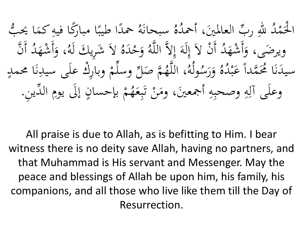هُ سبحانَهُ حمدًا طيبًا مبارَكًا فيهِ كمَا يُحبُّ<br>سَيَّةٍ،  $\blacktriangle$ ِ  $\ddot{\cdot}$ .<br>ا .<br>.<br>. ُ اب<br>ا للهِ ربِّ العالمينَ، أحمدُ<br>م .<br>ه  $\overline{a}$ اب<br>ا <u>لْ</u>حَمْدُ ح <u>ئ</u> ر<br>ح ا ن أَ َّ اب<br>ا د شه أَ ، و e<br>C نہ<br>م َ  $\frac{2}{3}$ وَحْدَهُ لاَ شَرِيكَ لَهُ<br>بِهِ صَلَّمَ وَمَ مَ ل<br>ا ِ ل<br>ا ح و<br>ن ام<br>ا أَنْ لاَ إِلَهَ إِلاَّ اللَّهُ  $\int$ إ ام<br>ا ل<br>ا ل .<br>ِءِ إ ح ا<br>ا ويرضَى، وَأَشْهَدُ ہے<br>ا ة<br>م ہ<br>ج  $\overline{a}$ ، اللَّهُمَّ صَلِّ وسلَّمْ وبارِكْ عِلَى سيدِنَا محمدٍ<br>، اللَّهُمَّ صَلِّ وسلَّمْ وبارِكْ عِلَى سيدِنَا محمدٍ .<br>.<br>. ر<br>ز ِ<br>ب  $\int$  $\frac{2}{\sqrt{2}}$  $\overline{\phantom{a}}$ **م**<br>ا لى<br>ا ه ُ ول  $\frac{1}{3}$ س ر و  $\frac{1}{2}$ َ ُ ه ا<br>ا سيدَنَا مُحَمَّداً عَبْدُ<br>ِ ح ه<br>به **ک**  $\overline{\phantom{a}}$ .<br>.<br>. ر<br>ز  $\overline{\phantom{a}}$ مْ بإحسانٍ إلَى يومِ الدِّينِ  $\ddot{\cdot}$  $\ddot{\phantom{0}}$ <u>ل</u><br>-إ  $\ddot{\cdot}$ **م**<br>ا **€** وعلَى آلِهِ وصحبِهِ أجمعينَ، ومَنْ تَبِعَهُمْ بإحسانٍ إلَى يومِ الدِّينِ. **گر**  $\ddot{\cdot}$ بد تى<br>. بہ<br>ن ا<br>ا  $\mathcal{A}$  $\ddot{\phantom{0}}$  $\overline{4}$  $\ddot{\cdot}$  $\overline{4}$ ِ<br>ا  $\int$ 

All praise is due to Allah, as is befitting to Him. I bear witness there is no deity save Allah, having no partners, and that Muhammad is His servant and Messenger. May the peace and blessings of Allah be upon him, his family, his companions, and all those who live like them till the Day of Resurrection.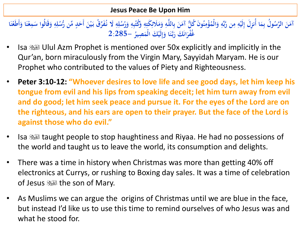**Jesus Peace Be Upon Him**

آمَنَ الرَّسُولُ بِمَا أُنزِلَ إِلَيْهِ مِن رَّبِّهِ وَالْمُؤْمِنُونَ كُلُّ آمَنَ بِاللَّهِ وَمَلَائِكَتِهِ وَكُتُبِهِ وَرُسُلِهِ لَا نُفَرِّقُ بَيْنَ أَحَدٍ مِّن رُّسُلِهِ وَقَالُوا سَمِعْنَا وَأَطَعْنَا **َ ِ ِ َ ِ ِ ِ َ َ ِ ِ ب َ ِ َ ِ ِ ِ ْ ِ َ َ ِ َ ْ َ َ ْ َ َ ِ ِ َ ب ِ 2:285- ُ ِصير ْ َك الْم لَي ا و َّـن َ َك ر ان غُْفر َ ِ إ َ َ ب َ َ**

- Isa Ulul Azm Prophet is mentioned over 50x explicitly and implicitly in the Qur'an, born miraculously from the Virgin Mary, Sayyidah Maryam. He is our Prophet who contributed to the values of Piety and Righteousness.
- **Peter 3:10-12: "Whoever desires to love life and see good days, let him keep his tongue from evil and his lips from speaking deceit; let him turn away from evil and do good; let him seek peace and pursue it. For the eyes of the Lord are on the righteous, and his ears are open to their prayer. But the face of the Lord is against those who do evil."**
- Isa taught people to stop haughtiness and Riyaa. He had no possessions of the world and taught us to leave the world, its consumption and delights.
- There was a time in history when Christmas was more than getting 40% off electronics at Currys, or rushing to Boxing day sales. It was a time of celebration of Jesus **Seall** the son of Mary.
- As Muslims we can argue the origins of Christmas until we are blue in the face, but instead I'd like us to use this time to remind ourselves of who Jesus was and what he stood for.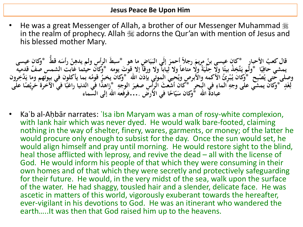He was a great Messenger of Allah, a brother of our Messenger Muhammad . in the realm of prophecy. Allah  $\mathcal{H}$  adorns the Qur'an with mention of Jesus and his blessed mother Mary.

قال كعبُ الأحبارِ \*كان عيسى بنُ مريمَ رجلاً أحمرَ إلَى البَيَاضِ ما هو \*سبطَ الرأسِ ولم يدهِنْ رأسَه قطٌ \*وكان عيسى<br>بدش حافيًا \*ما يَتَّخِذْ بِهَا ولا حايَّةً ولا معاهلَ الا ثمانَ ولا معقَّل الا قبيتَ بيما. \*كان **َ َ** ر<br>. **ا**<br>را **ْ ِ** يمشي خافِيَّآ \*وَلَم يَتَّخِذْ بيتًا ولا حِلْيَةً ولا متاعاً ولا ثِياباً ولا ورقاً إلا قوتَ يومه \*وَكانَ حيثما غابت الشمس صفّ قدميه<br>يمشي حافِيَّآ \*وَلَم يَتَّخِذْ بيتًا ولا حِلْيَةً ولا متاعاً ولا ثِياباً ولا ورقاً إ **ً ِ** .<br>ئا **َ ً** وصلَّى حتى يُصْبِح لَمَّ وَكَانَ يُبْرَئُ الْأَكْمَهُ والْأَبِرِصِ ويُحِييَ الموتى بِإِذنَ الله لَهُ وَكَانَ يخبرُ قومُه بِما يأكلون في بيوتهم وما يَدَّخِرون<br>إذا يُجان بن حال مجداً إراد في الحسنة كان أشعشَ الله عنه المجد **ْ ِياءِ**<br>≈ لِّغَدٍ ۖ وَكَانَ يَمْشَي عَلَى وَجَهِ الْمَاءِ فِي الْبَحْرِ ۗ \*كَانَ أَشْعَثَ الرَأْسُ صغيرَ الوجهِ \*زَاهَدًا فَي الدنيا راغبًا في الأخرة حَرِيْصًا عَلَى<br>لِغَدٍ \*وَكان يُمشَي على وجهِ الماءِ في البحرِ \*كان أَشْعَثَ الرَ **ِ ِ** .<br>|<br>| **ِ َ َ ً ً عبادة اهلل \* ا في األرض اح ّ ي وكان س ....فرفعه اهلل إلى السماء َ**

• Kaʿb al-Aḥbār narrates: ʿIsa ibn Maryam was a man of rosy-white complexion, with lank hair which was never dyed. He would walk bare-footed, claiming nothing in the way of shelter, finery, wares, garments, or money; of the latter he would procure only enough to subsist for the day. Once the sun would set, he would align himself and pray until morning. He would restore sight to the blind, heal those afflicted with leprosy, and revive the dead – all with the license of God. He would inform his people of that which they were consuming in their own homes and of that which they were secretly and protectively safeguarding for their future. He would, in the very midst of the sea, walk upon the surface of the water. He had shaggy, tousled hair and a slender, delicate face. He was ascetic in matters of this world, vigorously exuberant towards the hereafter, ever-vigilant in his devotions to God. He was an itinerant who wandered the earth…..It was then that God raised him up to the heavens.